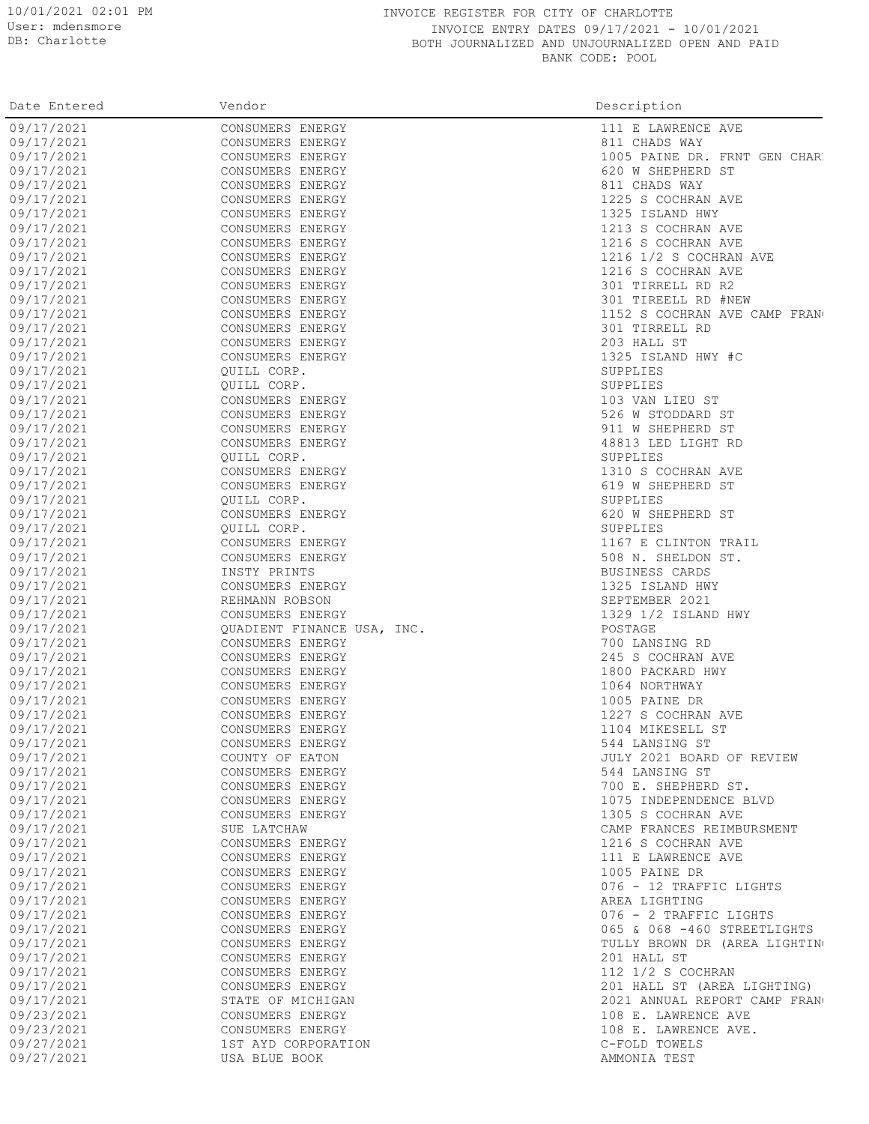## 10/01/2021 02:01 PM INVOICE REGISTER FOR CITY OF CHARLOTTE INVOICE ENTRY DATES 09/17/2021 - 10/01/2021 BOTH JOURNALIZED AND UNJOURNALIZED OPEN AND PAID BANK CODE: POOL

| Date Entered | Vendor                               | Description                          |
|--------------|--------------------------------------|--------------------------------------|
| 09/17/2021   | CONSUMERS ENERGY                     | 111 E LAWRENCE AVE                   |
| 09/17/2021   | CONSUMERS ENERGY                     | 811 CHADS WAY                        |
| 09/17/2021   | CONSUMERS ENERGY                     | 1005 PAINE DR. FRNT GEN CHAR         |
| 09/17/2021   | CONSUMERS ENERGY                     | 620 W SHEPHERD ST                    |
| 09/17/2021   | CONSUMERS ENERGY                     | 811 CHADS WAY                        |
| 09/17/2021   | CONSUMERS ENERGY                     | 1225 S COCHRAN AVE                   |
| 09/17/2021   | CONSUMERS ENERGY                     | 1325 ISLAND HWY                      |
| 09/17/2021   | CONSUMERS ENERGY                     | 1213 S COCHRAN AVE                   |
| 09/17/2021   | CONSUMERS ENERGY                     | 1216 S COCHRAN AVE                   |
| 09/17/2021   | CONSUMERS ENERGY                     | 1216 1/2 S COCHRAN AVE               |
| 09/17/2021   | CONSUMERS ENERGY                     | 1216 S COCHRAN AVE                   |
| 09/17/2021   | CONSUMERS ENERGY                     | 301 TIRRELL RD R2                    |
| 09/17/2021   | CONSUMERS ENERGY                     | 301 TIREELL RD #NEW                  |
| 09/17/2021   | CONSUMERS ENERGY                     | 1152 S COCHRAN AVE CAMP FRAN         |
| 09/17/2021   | CONSUMERS ENERGY                     | 301 TIRRELL RD                       |
| 09/17/2021   | CONSUMERS ENERGY                     | 203 HALL ST                          |
| 09/17/2021   | CONSUMERS ENERGY                     | 1325 ISLAND HWY #C                   |
| 09/17/2021   | QUILL CORP.                          | SUPPLIES                             |
| 09/17/2021   | OUILL CORP.                          | SUPPLIES                             |
| 09/17/2021   |                                      |                                      |
| 09/17/2021   | CONSUMERS ENERGY<br>CONSUMERS ENERGY | 103 VAN LIEU ST<br>526 W STODDARD ST |
| 09/17/2021   | CONSUMERS ENERGY                     | 911 W SHEPHERD ST                    |
| 09/17/2021   |                                      |                                      |
| 09/17/2021   | CONSUMERS ENERGY                     | 48813 LED LIGHT RD                   |
| 09/17/2021   | QUILL CORP.<br>CONSUMERS ENERGY      | SUPPLIES<br>1310 S COCHRAN AVE       |
| 09/17/2021   |                                      | 619 W SHEPHERD ST                    |
| 09/17/2021   | CONSUMERS ENERGY<br>OUILL CORP.      |                                      |
|              |                                      | SUPPLIES                             |
| 09/17/2021   | CONSUMERS ENERGY                     | 620 W SHEPHERD ST                    |
| 09/17/2021   | QUILL CORP.                          | SUPPLIES                             |
| 09/17/2021   | CONSUMERS ENERGY                     | 1167 E CLINTON TRAIL                 |
| 09/17/2021   | CONSUMERS ENERGY                     | 508 N. SHELDON ST.                   |
| 09/17/2021   | INSTY PRINTS                         | BUSINESS CARDS                       |
| 09/17/2021   | CONSUMERS ENERGY                     | 1325 ISLAND HWY                      |
| 09/17/2021   | REHMANN ROBSON                       | SEPTEMBER 2021                       |
| 09/17/2021   | CONSUMERS ENERGY                     | 1329 1/2 ISLAND HWY                  |
| 09/17/2021   | QUADIENT FINANCE USA, INC.           | POSTAGE                              |
| 09/17/2021   | CONSUMERS ENERGY                     | 700 LANSING RD                       |
| 09/17/2021   | CONSUMERS ENERGY                     | 245 S COCHRAN AVE                    |
| 09/17/2021   | CONSUMERS ENERGY                     | 1800 PACKARD HWY                     |
| 09/17/2021   | CONSUMERS ENERGY                     | 1064 NORTHWAY                        |
| 09/17/2021   | CONSUMERS ENERGY                     | 1005 PAINE DR                        |
| 09/17/2021   | CONSUMERS ENERGY                     | 1227 S COCHRAN AVE                   |
| 09/17/2021   | CONSUMERS ENERGY                     | 1104 MIKESELL ST                     |
| 09/17/2021   | CONSUMERS ENERGY                     | 544 LANSING ST                       |
| 09/17/2021   | COUNTY OF EATON                      | JULY 2021 BOARD OF REVIEW            |
| 09/17/2021   | CONSUMERS ENERGY                     | 544 LANSING ST                       |
| 09/17/2021   | CONSUMERS ENERGY                     | 700 E. SHEPHERD ST.                  |
| 09/17/2021   | CONSUMERS ENERGY                     | 1075 INDEPENDENCE BLVD               |
| 09/17/2021   | CONSUMERS ENERGY                     | 1305 S COCHRAN AVE                   |
| 09/17/2021   | SUE LATCHAW                          | CAMP FRANCES REIMBURSMENT            |
| 09/17/2021   | CONSUMERS ENERGY                     | 1216 S COCHRAN AVE                   |
| 09/17/2021   | CONSUMERS ENERGY                     | 111 E LAWRENCE AVE                   |
| 09/17/2021   | CONSUMERS ENERGY                     | 1005 PAINE DR                        |
| 09/17/2021   | CONSUMERS ENERGY                     | 076 - 12 TRAFFIC LIGHTS              |
| 09/17/2021   | CONSUMERS ENERGY                     | AREA LIGHTING                        |
| 09/17/2021   | CONSUMERS ENERGY                     | 076 - 2 TRAFFIC LIGHTS               |
| 09/17/2021   | CONSUMERS ENERGY                     | 065 & 068 -460 STREETLIGHTS          |
| 09/17/2021   | CONSUMERS ENERGY                     | TULLY BROWN DR (AREA LIGHTING        |
| 09/17/2021   | CONSUMERS ENERGY                     | 201 HALL ST                          |
| 09/17/2021   | CONSUMERS ENERGY                     | 112 1/2 S COCHRAN                    |
| 09/17/2021   | CONSUMERS ENERGY                     | 201 HALL ST (AREA LIGHTING)          |
| 09/17/2021   | STATE OF MICHIGAN                    | 2021 ANNUAL REPORT CAMP FRANG        |
| 09/23/2021   | CONSUMERS ENERGY                     | 108 E. LAWRENCE AVE                  |
| 09/23/2021   | CONSUMERS ENERGY                     | 108 E. LAWRENCE AVE.                 |
| 09/27/2021   | 1ST AYD CORPORATION                  | C-FOLD TOWELS                        |
| 09/27/2021   | USA BLUE BOOK                        | AMMONIA TEST                         |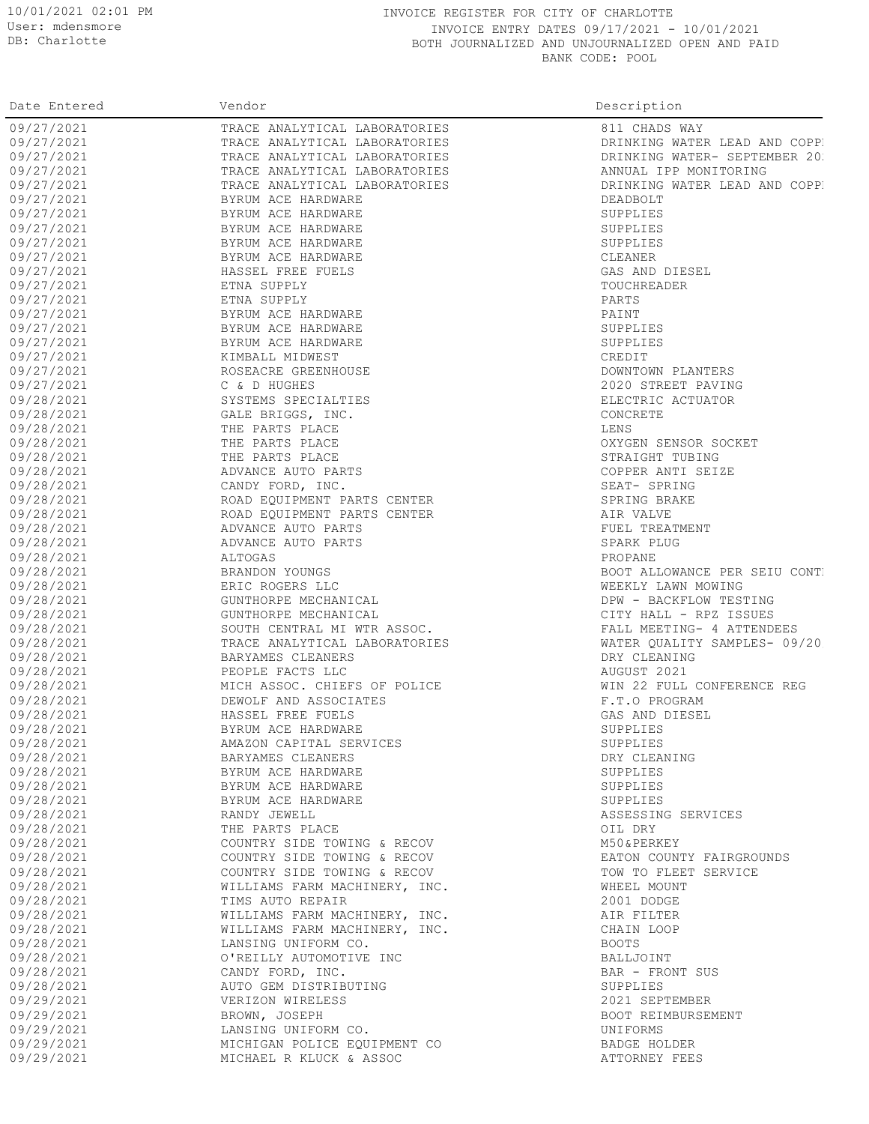## 10/01/2021 02:01 PM INVOICE REGISTER FOR CITY OF CHARLOTTE INVOICE ENTRY DATES 09/17/2021 - 10/01/2021 BOTH JOURNALIZED AND UNJOURNALIZED OPEN AND PAID BANK CODE: POOL

| Date Entered | Vendor                        | Description                   |
|--------------|-------------------------------|-------------------------------|
| 09/27/2021   | TRACE ANALYTICAL LABORATORIES | 811 CHADS WAY                 |
| 09/27/2021   | TRACE ANALYTICAL LABORATORIES | DRINKING WATER LEAD AND COPP. |
| 09/27/2021   | TRACE ANALYTICAL LABORATORIES | DRINKING WATER- SEPTEMBER 201 |
| 09/27/2021   | TRACE ANALYTICAL LABORATORIES | ANNUAL IPP MONITORING         |
| 09/27/2021   | TRACE ANALYTICAL LABORATORIES | DRINKING WATER LEAD AND COPP. |
| 09/27/2021   | BYRUM ACE HARDWARE            | DEADBOLT                      |
| 09/27/2021   | BYRUM ACE HARDWARE            | SUPPLIES                      |
| 09/27/2021   | BYRUM ACE HARDWARE            | SUPPLIES                      |
| 09/27/2021   | BYRUM ACE HARDWARE            | SUPPLIES                      |
| 09/27/2021   | BYRUM ACE HARDWARE            | CLEANER                       |
| 09/27/2021   | HASSEL FREE FUELS             | GAS AND DIESEL                |
| 09/27/2021   | ETNA SUPPLY                   | TOUCHREADER                   |
| 09/27/2021   | ETNA SUPPLY                   | PARTS                         |
| 09/27/2021   | BYRUM ACE HARDWARE            | PAINT                         |
| 09/27/2021   | BYRUM ACE HARDWARE            | SUPPLIES                      |
| 09/27/2021   | BYRUM ACE HARDWARE            | SUPPLIES                      |
| 09/27/2021   | KIMBALL MIDWEST               | CREDIT                        |
| 09/27/2021   | ROSEACRE GREENHOUSE           | DOWNTOWN PLANTERS             |
| 09/27/2021   | C & D HUGHES                  | 2020 STREET PAVING            |
| 09/28/2021   | SYSTEMS SPECIALTIES           | ELECTRIC ACTUATOR             |
| 09/28/2021   | GALE BRIGGS, INC.             |                               |
|              | THE PARTS PLACE               | CONCRETE<br>LENS              |
| 09/28/2021   |                               |                               |
| 09/28/2021   | THE PARTS PLACE               | OXYGEN SENSOR SOCKET          |
| 09/28/2021   | THE PARTS PLACE               | STRAIGHT TUBING               |
| 09/28/2021   | ADVANCE AUTO PARTS            | COPPER ANTI SEIZE             |
| 09/28/2021   | CANDY FORD, INC.              | SEAT- SPRING                  |
| 09/28/2021   | ROAD EQUIPMENT PARTS CENTER   | SPRING BRAKE                  |
| 09/28/2021   | ROAD EQUIPMENT PARTS CENTER   | AIR VALVE                     |
| 09/28/2021   | ADVANCE AUTO PARTS            | FUEL TREATMENT                |
| 09/28/2021   | ADVANCE AUTO PARTS            | SPARK PLUG                    |
| 09/28/2021   | ALTOGAS                       | PROPANE                       |
| 09/28/2021   | BRANDON YOUNGS                | BOOT ALLOWANCE PER SEIU CONTI |
| 09/28/2021   | ERIC ROGERS LLC               | WEEKLY LAWN MOWING            |
| 09/28/2021   | GUNTHORPE MECHANICAL          | DPW - BACKFLOW TESTING        |
| 09/28/2021   | GUNTHORPE MECHANICAL          | CITY HALL - RPZ ISSUES        |
| 09/28/2021   | SOUTH CENTRAL MI WTR ASSOC.   | FALL MEETING- 4 ATTENDEES     |
| 09/28/2021   | TRACE ANALYTICAL LABORATORIES | WATER QUALITY SAMPLES- 09/20  |
| 09/28/2021   | BARYAMES CLEANERS             | DRY CLEANING                  |
| 09/28/2021   | PEOPLE FACTS LLC              | AUGUST 2021                   |
| 09/28/2021   | MICH ASSOC. CHIEFS OF POLICE  | WIN 22 FULL CONFERENCE REG    |
| 09/28/2021   | DEWOLF AND ASSOCIATES         | F.T.O PROGRAM                 |
| 09/28/2021   | HASSEL FREE FUELS             | GAS AND DIESEL                |
| 09/28/2021   | BYRUM ACE HARDWARE            | SUPPLIES                      |
| 09/28/2021   | AMAZON CAPITAL SERVICES       | SUPPLIES                      |
| 09/28/2021   | BARYAMES CLEANERS             | DRY CLEANING                  |
| 09/28/2021   | BYRUM ACE HARDWARE            | SUPPLIES                      |
| 09/28/2021   | BYRUM ACE HARDWARE            | SUPPLIES                      |
| 09/28/2021   | BYRUM ACE HARDWARE            | SUPPLIES                      |
| 09/28/2021   | RANDY JEWELL                  | ASSESSING SERVICES            |
| 09/28/2021   | THE PARTS PLACE               | OIL DRY                       |
| 09/28/2021   | COUNTRY SIDE TOWING & RECOV   | M50&PERKEY                    |
| 09/28/2021   | COUNTRY SIDE TOWING & RECOV   | EATON COUNTY FAIRGROUNDS      |
| 09/28/2021   | COUNTRY SIDE TOWING & RECOV   | TOW TO FLEET SERVICE          |
| 09/28/2021   | WILLIAMS FARM MACHINERY, INC. | WHEEL MOUNT                   |
| 09/28/2021   | TIMS AUTO REPAIR              | 2001 DODGE                    |
| 09/28/2021   | WILLIAMS FARM MACHINERY, INC. | AIR FILTER                    |
| 09/28/2021   | WILLIAMS FARM MACHINERY, INC. | CHAIN LOOP                    |
| 09/28/2021   | LANSING UNIFORM CO.           | <b>BOOTS</b>                  |
| 09/28/2021   | O'REILLY AUTOMOTIVE INC       | BALLJOINT                     |
| 09/28/2021   | CANDY FORD, INC.              | BAR - FRONT SUS               |
| 09/28/2021   | AUTO GEM DISTRIBUTING         | SUPPLIES                      |
| 09/29/2021   | VERIZON WIRELESS              | 2021 SEPTEMBER                |
| 09/29/2021   | BROWN, JOSEPH                 | BOOT REIMBURSEMENT            |
| 09/29/2021   | LANSING UNIFORM CO.           | UNIFORMS                      |
| 09/29/2021   | MICHIGAN POLICE EQUIPMENT CO  | BADGE HOLDER                  |
| 09/29/2021   | MICHAEL R KLUCK & ASSOC       | ATTORNEY FEES                 |
|              |                               |                               |